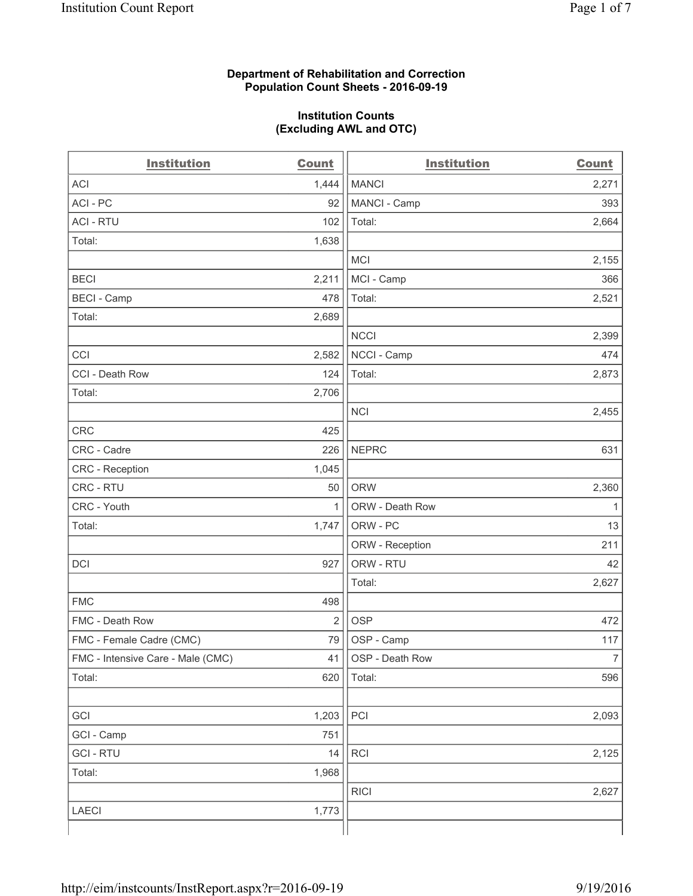### **Department of Rehabilitation and Correction Population Count Sheets - 2016-09-19**

#### **Institution Counts (Excluding AWL and OTC)**

| <b>Institution</b>                | <b>Count</b>   | <b>Institution</b> | <b>Count</b>   |
|-----------------------------------|----------------|--------------------|----------------|
| <b>ACI</b>                        | 1,444          | <b>MANCI</b>       | 2,271          |
| ACI-PC                            | 92             | MANCI - Camp       | 393            |
| <b>ACI - RTU</b>                  | 102            | Total:             | 2,664          |
| Total:                            | 1,638          |                    |                |
|                                   |                | <b>MCI</b>         | 2,155          |
| <b>BECI</b>                       | 2,211          | MCI - Camp         | 366            |
| <b>BECI - Camp</b>                | 478            | Total:             | 2,521          |
| Total:                            | 2,689          |                    |                |
|                                   |                | <b>NCCI</b>        | 2,399          |
| CCI                               | 2,582          | NCCI - Camp        | 474            |
| CCI - Death Row                   | 124            | Total:             | 2,873          |
| Total:                            | 2,706          |                    |                |
|                                   |                | <b>NCI</b>         | 2,455          |
| <b>CRC</b>                        | 425            |                    |                |
| CRC - Cadre                       | 226            | <b>NEPRC</b>       | 631            |
| CRC - Reception                   | 1,045          |                    |                |
| CRC - RTU                         | 50             | <b>ORW</b>         | 2,360          |
| CRC - Youth                       | 1              | ORW - Death Row    | 1              |
| Total:                            | 1,747          | ORW - PC           | 13             |
|                                   |                | ORW - Reception    | 211            |
| DCI                               | 927            | ORW - RTU          | 42             |
|                                   |                | Total:             | 2,627          |
| <b>FMC</b>                        | 498            |                    |                |
| FMC - Death Row                   | $\overline{2}$ | <b>OSP</b>         | 472            |
| FMC - Female Cadre (CMC)          | 79             | OSP - Camp         | 117            |
| FMC - Intensive Care - Male (CMC) | 41             | OSP - Death Row    | $\overline{7}$ |
| Total:                            | 620            | Total:             | 596            |
|                                   |                |                    |                |
| GCI                               | 1,203          | PCI                | 2,093          |
| GCI - Camp                        | 751            |                    |                |
| <b>GCI-RTU</b>                    | 14             | RCI                | 2,125          |
| Total:                            | 1,968          |                    |                |
|                                   |                | <b>RICI</b>        | 2,627          |
| <b>LAECI</b>                      | 1,773          |                    |                |
|                                   |                |                    |                |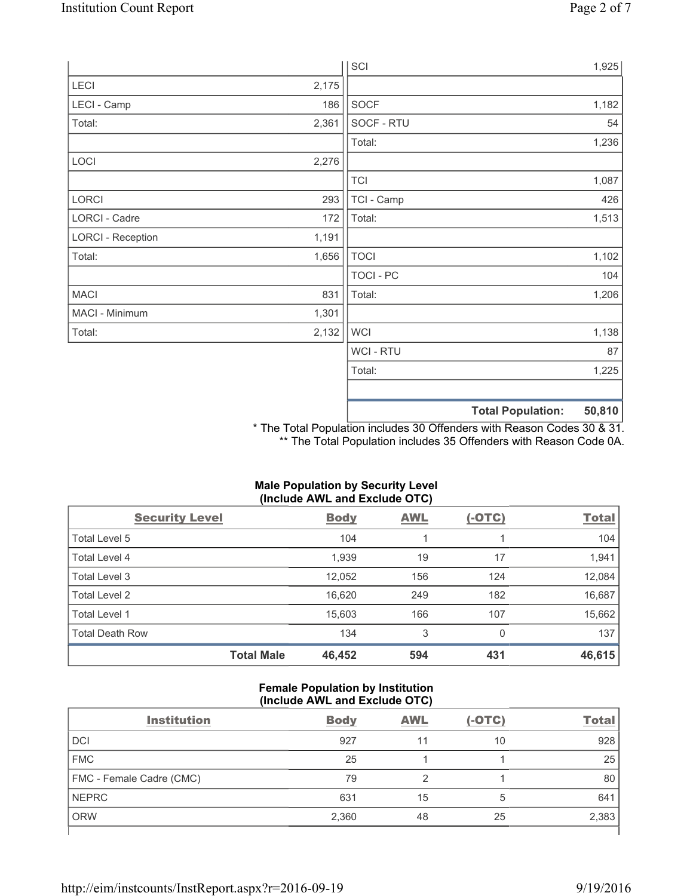|                          |       | SCI            |                          | 1,925  |
|--------------------------|-------|----------------|--------------------------|--------|
| LECI                     | 2,175 |                |                          |        |
| LECI - Camp              | 186   | SOCF           |                          | 1,182  |
| Total:                   | 2,361 | SOCF - RTU     |                          | 54     |
|                          |       | Total:         |                          | 1,236  |
| LOCI                     | 2,276 |                |                          |        |
|                          |       | <b>TCI</b>     |                          | 1,087  |
| LORCI                    | 293   | TCI - Camp     |                          | 426    |
| LORCI - Cadre            | 172   | Total:         |                          | 1,513  |
| <b>LORCI - Reception</b> | 1,191 |                |                          |        |
| Total:                   | 1,656 | <b>TOCI</b>    |                          | 1,102  |
|                          |       | TOCI - PC      |                          | 104    |
| <b>MACI</b>              | 831   | Total:         |                          | 1,206  |
| MACI - Minimum           | 1,301 |                |                          |        |
| Total:                   | 2,132 | <b>WCI</b>     |                          | 1,138  |
|                          |       | <b>WCI-RTU</b> |                          | 87     |
|                          |       | Total:         |                          | 1,225  |
|                          |       |                |                          |        |
|                          |       |                | <b>Total Population:</b> | 50,810 |

\* The Total Population includes 30 Offenders with Reason Codes 30 & 31. \*\* The Total Population includes 35 Offenders with Reason Code 0A.

# **Male Population by Security Level (Include AWL and Exclude OTC)**

| <b>Security Level</b>  |                   | <b>Body</b> | <b>AWL</b> | $(-OTC)$ | <b>Total</b> |
|------------------------|-------------------|-------------|------------|----------|--------------|
| Total Level 5          |                   | 104         |            |          | 104          |
| Total Level 4          |                   | 1,939       | 19         | 17       | 1,941        |
| Total Level 3          |                   | 12,052      | 156        | 124      | 12,084       |
| Total Level 2          |                   | 16,620      | 249        | 182      | 16,687       |
| Total Level 1          |                   | 15,603      | 166        | 107      | 15,662       |
| <b>Total Death Row</b> |                   | 134         | 3          | 0        | 137          |
|                        | <b>Total Male</b> | 46,452      | 594        | 431      | 46,615       |

#### **Female Population by Institution (Include AWL and Exclude OTC)**

| <b>Institution</b>       | <b>Body</b> | <b>AWL</b> | $(-OTC)$ | <b>Total</b> |
|--------------------------|-------------|------------|----------|--------------|
| <b>DCI</b>               | 927         | 11         | 10       | 928          |
| <b>FMC</b>               | 25          |            |          | 25           |
| FMC - Female Cadre (CMC) | 79          | ◠          |          | 80           |
| <b>NEPRC</b>             | 631         | 15         | 5        | 641          |
| <b>ORW</b>               | 2,360       | 48         | 25       | 2,383        |
|                          |             |            |          |              |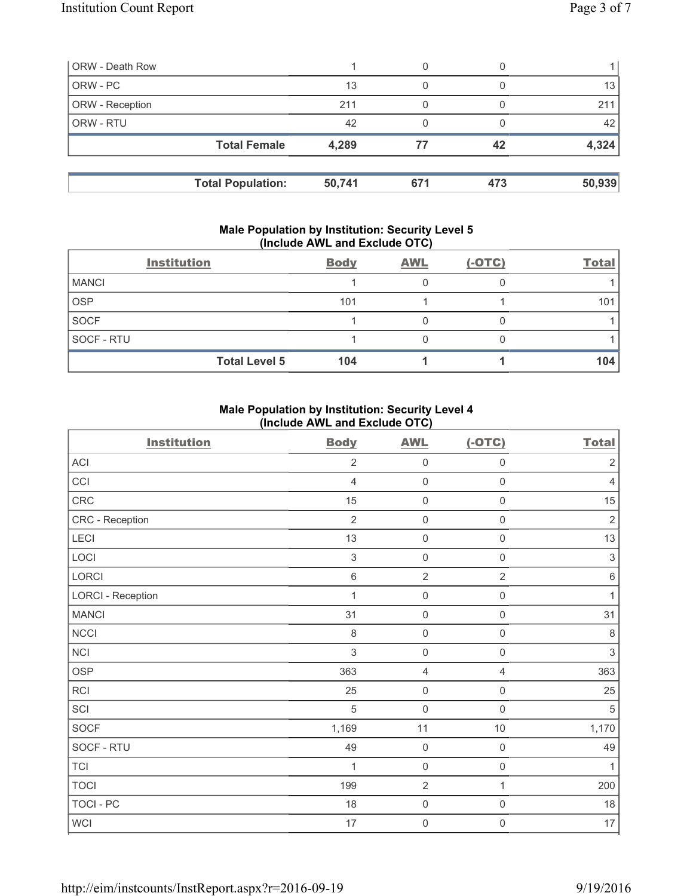| <b>ORW</b> - Death Row |                          |        |     |     |        |
|------------------------|--------------------------|--------|-----|-----|--------|
| ORW - PC               |                          | 13     | 0   |     | 13     |
| <b>ORW</b> - Reception |                          | 211    |     |     | 211    |
| <b>ORW - RTU</b>       |                          | 42     |     |     | 42     |
|                        | <b>Total Female</b>      | 4,289  | 77  | 42  | 4,324  |
|                        |                          |        |     |     |        |
|                        | <b>Total Population:</b> | 50,741 | 671 | 473 | 50,939 |

#### **Male Population by Institution: Security Level 5 (Include AWL and Exclude OTC)**

|              | <b>Institution</b>   | <b>Body</b> | <b>AWL</b> | $(-OTC)$ | <b>Total</b> |
|--------------|----------------------|-------------|------------|----------|--------------|
| <b>MANCI</b> |                      |             |            |          |              |
| <b>OSP</b>   |                      | 101         |            |          | 101          |
| <b>SOCF</b>  |                      |             |            |          |              |
| SOCF - RTU   |                      |             |            |          |              |
|              | <b>Total Level 5</b> | 104         |            |          | 104          |

### **Male Population by Institution: Security Level 4 (Include AWL and Exclude OTC)**

| <b>Institution</b>       | <b>Body</b>    | <b>AWL</b>          | $(-OTC)$            | <b>Total</b>              |
|--------------------------|----------------|---------------------|---------------------|---------------------------|
| ACI                      | $\overline{2}$ | $\mathsf{O}\xspace$ | $\mathsf{O}\xspace$ | $\mathbf 2$               |
| CCI                      | $\overline{4}$ | $\mathsf{O}\xspace$ | 0                   | $\overline{4}$            |
| CRC                      | 15             | $\mathbf 0$         | $\mathbf 0$         | 15                        |
| CRC - Reception          | $\overline{2}$ | $\mathsf{O}\xspace$ | $\mathsf{O}\xspace$ | $\sqrt{2}$                |
| LECI                     | 13             | $\mathsf{O}\xspace$ | $\mathsf{O}\xspace$ | 13                        |
| LOCI                     | $\sqrt{3}$     | $\mathsf{O}\xspace$ | $\mathsf{O}\xspace$ | $\sqrt{3}$                |
| LORCI                    | $\,6\,$        | $\overline{2}$      | $\overline{2}$      | $\,6\,$                   |
| <b>LORCI - Reception</b> | 1              | $\mathbf 0$         | $\mathsf{O}\xspace$ | $\mathbf{1}$              |
| <b>MANCI</b>             | 31             | $\mathsf{O}\xspace$ | $\mathsf{O}\xspace$ | 31                        |
| <b>NCCI</b>              | 8              | $\mathbf 0$         | $\mathsf{O}\xspace$ | $\,8\,$                   |
| NCI                      | 3              | $\mathsf{O}\xspace$ | $\mathsf{O}\xspace$ | $\ensuremath{\mathsf{3}}$ |
| <b>OSP</b>               | 363            | $\overline{4}$      | 4                   | 363                       |
| <b>RCI</b>               | 25             | $\mathsf{O}\xspace$ | $\mathsf{O}\xspace$ | 25                        |
| SCI                      | 5              | $\mathsf{O}\xspace$ | $\mathsf 0$         | $\sqrt{5}$                |
| SOCF                     | 1,169          | 11                  | $10$                | 1,170                     |
| SOCF - RTU               | 49             | $\mathsf{O}\xspace$ | $\mathsf{O}\xspace$ | 49                        |
| <b>TCI</b>               | 1              | $\mathsf{O}\xspace$ | $\mathsf{O}\xspace$ | $\mathbf{1}$              |
| <b>TOCI</b>              | 199            | $\overline{2}$      | 1                   | 200                       |
| <b>TOCI - PC</b>         | 18             | $\mathsf{O}\xspace$ | $\mathsf{O}\xspace$ | 18                        |
| <b>WCI</b>               | 17             | $\mathsf{O}\xspace$ | $\mathsf{O}\xspace$ | 17                        |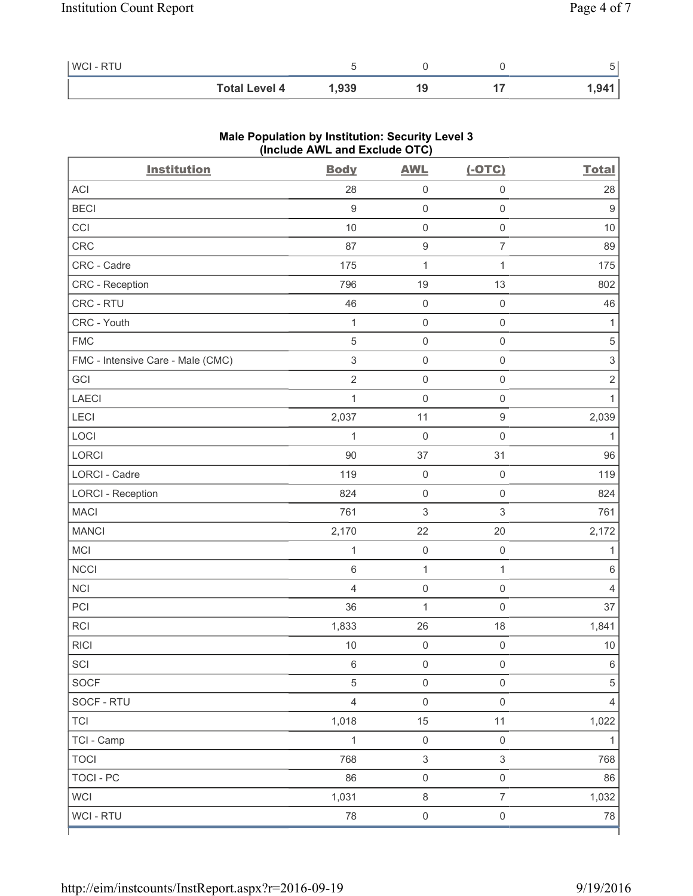| <b>WCI-RTU</b> |                      |       |    |       |
|----------------|----------------------|-------|----|-------|
|                | <b>Total Level 4</b> | 1.939 | 19 | 1,941 |

| <b>Institution</b>                | $(III)$ and $III$ and $I$ and $II$ and $II$<br><b>Body</b> | <b>AWL</b>                | $(-OTC)$            | <b>Total</b>              |
|-----------------------------------|------------------------------------------------------------|---------------------------|---------------------|---------------------------|
| ACI                               | 28                                                         | $\mathsf{O}\xspace$       | 0                   | 28                        |
| <b>BECI</b>                       | $\boldsymbol{9}$                                           | $\mathsf{O}\xspace$       | $\mathsf{O}\xspace$ | $\boldsymbol{9}$          |
| CCI                               | 10                                                         | $\mathsf{O}\xspace$       | $\mathsf 0$         | 10                        |
| CRC                               | 87                                                         | $\boldsymbol{9}$          | $\overline{7}$      | 89                        |
| CRC - Cadre                       | 175                                                        | $\mathbf 1$               | 1                   | 175                       |
| CRC - Reception                   | 796                                                        | 19                        | 13                  | 802                       |
| CRC - RTU                         | 46                                                         | $\mathsf{O}\xspace$       | $\mathsf 0$         | 46                        |
| CRC - Youth                       | 1                                                          | $\mathsf{O}\xspace$       | $\mathsf 0$         | 1                         |
| <b>FMC</b>                        | $\sqrt{5}$                                                 | $\mathsf{O}\xspace$       | $\mathsf{O}\xspace$ | $\sqrt{5}$                |
| FMC - Intensive Care - Male (CMC) | $\ensuremath{\mathsf{3}}$                                  | $\mathsf{O}\xspace$       | $\mathsf{O}\xspace$ | $\ensuremath{\mathsf{3}}$ |
| GCI                               | $\overline{2}$                                             | $\mathsf{O}\xspace$       | $\mathsf 0$         | $\sqrt{2}$                |
| <b>LAECI</b>                      | 1                                                          | $\mathsf{O}\xspace$       | $\mathsf{O}\xspace$ | 1                         |
| LECI                              | 2,037                                                      | 11                        | $\mathsf g$         | 2,039                     |
| LOCI                              | 1                                                          | $\mathsf{O}\xspace$       | $\mathsf 0$         | $\mathbf{1}$              |
| LORCI                             | 90                                                         | 37                        | 31                  | 96                        |
| LORCI - Cadre                     | 119                                                        | $\mathsf{O}\xspace$       | $\mathbf 0$         | 119                       |
| <b>LORCI - Reception</b>          | 824                                                        | $\mathsf{O}\xspace$       | $\mathsf{O}\xspace$ | 824                       |
| <b>MACI</b>                       | 761                                                        | 3                         | 3                   | 761                       |
| <b>MANCI</b>                      | 2,170                                                      | 22                        | 20                  | 2,172                     |
| MCI                               | 1                                                          | $\mathsf{O}\xspace$       | $\mathbf 0$         | 1                         |
| <b>NCCI</b>                       | $\,6\,$                                                    | 1                         | $\mathbf{1}$        | 6                         |
| <b>NCI</b>                        | $\overline{4}$                                             | $\mathsf{O}\xspace$       | $\mathsf{O}\xspace$ | 4                         |
| PCI                               | 36                                                         | $\mathbf{1}$              | $\mathbf 0$         | 37                        |
| RCI                               | 1,833                                                      | 26                        | 18                  | 1,841                     |
| <b>RICI</b>                       | 10                                                         | $\mathsf{O}\xspace$       | $\mathsf 0$         | $10$                      |
| SCI                               | 6                                                          | $\mathsf{O}\xspace$       | $\mathsf{O}\xspace$ | $\,6\,$                   |
| SOCF                              | 5                                                          | $\mathsf{O}\xspace$       | 0                   | $\,$ 5 $\,$               |
| SOCF - RTU                        | $\overline{4}$                                             | $\mathsf{O}\xspace$       | $\mathsf 0$         | 4                         |
| <b>TCI</b>                        | 1,018                                                      | 15                        | 11                  | 1,022                     |
| TCI - Camp                        | 1                                                          | $\mathsf{O}\xspace$       | $\mathsf 0$         | $\mathbf{1}$              |
| <b>TOCI</b>                       | 768                                                        | $\ensuremath{\mathsf{3}}$ | 3                   | 768                       |
| <b>TOCI - PC</b>                  | 86                                                         | $\mathbf 0$               | $\mathsf{O}\xspace$ | 86                        |
| <b>WCI</b>                        | 1,031                                                      | $\,8\,$                   | $\overline{7}$      | 1,032                     |
| WCI - RTU                         | 78                                                         | $\mathsf{O}\xspace$       | $\mathsf{O}\xspace$ | 78                        |

# **Male Population by Institution: Security Level 3 (Include AWL and Exclude OTC)**

ľ

٦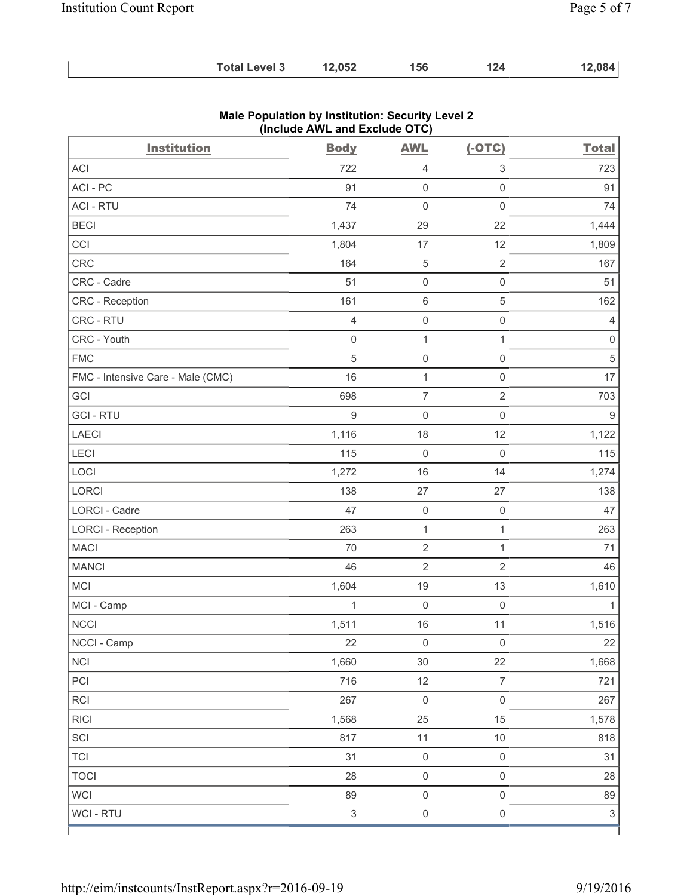| <b>Total Level 3</b> | 12,052 | 156 | 124 | 12,084 |
|----------------------|--------|-----|-----|--------|
|----------------------|--------|-----|-----|--------|

| <b>Institution</b>                | <b>Body</b>               | <b>AWL</b>          | $(-OTC)$                  | <b>Total</b>   |
|-----------------------------------|---------------------------|---------------------|---------------------------|----------------|
| ACI                               | 722                       | $\overline{4}$      | $\ensuremath{\mathsf{3}}$ | 723            |
| ACI - PC                          | 91                        | $\mathbf 0$         | $\mathsf{O}\xspace$       | 91             |
| <b>ACI - RTU</b>                  | 74                        | $\mathsf{O}\xspace$ | $\mathsf{O}\xspace$       | 74             |
| <b>BECI</b>                       | 1,437                     | 29                  | 22                        | 1,444          |
| CCI                               | 1,804                     | 17                  | 12                        | 1,809          |
| <b>CRC</b>                        | 164                       | $\sqrt{5}$          | $\sqrt{2}$                | 167            |
| CRC - Cadre                       | 51                        | $\mathsf{O}\xspace$ | $\mathsf{O}\xspace$       | 51             |
| CRC - Reception                   | 161                       | $\,6\,$             | $\sqrt{5}$                | 162            |
| CRC - RTU                         | $\overline{4}$            | $\mathsf{O}\xspace$ | $\mathsf 0$               | $\overline{4}$ |
| CRC - Youth                       | $\mathsf 0$               | $\mathbf 1$         | $\mathbf{1}$              | $\mathsf 0$    |
| <b>FMC</b>                        | $\sqrt{5}$                | $\mathsf{O}\xspace$ | $\mathsf 0$               | 5              |
| FMC - Intensive Care - Male (CMC) | 16                        | $\mathbf 1$         | $\mathsf{O}\xspace$       | 17             |
| GCI                               | 698                       | $\overline{7}$      | $\sqrt{2}$                | 703            |
| <b>GCI-RTU</b>                    | $\mathsf 9$               | $\mathbf 0$         | $\mathsf{O}\xspace$       | $\mathsf g$    |
| <b>LAECI</b>                      | 1,116                     | 18                  | 12                        | 1,122          |
| LECI                              | 115                       | $\mathbf 0$         | $\mathbf 0$               | 115            |
| LOCI                              | 1,272                     | 16                  | 14                        | 1,274          |
| LORCI                             | 138                       | 27                  | 27                        | 138            |
| LORCI - Cadre                     | 47                        | $\mathsf{O}\xspace$ | $\mathsf{O}\xspace$       | 47             |
| <b>LORCI - Reception</b>          | 263                       | $\mathbf{1}$        | $\mathbf{1}$              | 263            |
| <b>MACI</b>                       | 70                        | $\overline{2}$      | $\mathbf{1}$              | 71             |
| <b>MANCI</b>                      | 46                        | $\overline{2}$      | $\overline{2}$            | 46             |
| MCI                               | 1,604                     | 19                  | 13                        | 1,610          |
| MCI - Camp                        | $\mathbf 1$               | $\mathbf 0$         | $\mathbf 0$               | $\mathbf{1}$   |
| <b>NCCI</b>                       | 1,511                     | 16                  | 11                        | 1,516          |
| NCCI - Camp                       | 22                        | 0                   | 0                         | $22 \n$        |
| <b>NCI</b>                        | 1,660                     | 30                  | 22                        | 1,668          |
| PCI                               | 716                       | 12                  | $\overline{7}$            | 721            |
| RCI                               | 267                       | $\mathsf{O}\xspace$ | $\mathsf{O}\xspace$       | 267            |
| <b>RICI</b>                       | 1,568                     | 25                  | 15                        | 1,578          |
| SCI                               | 817                       | 11                  | $10$                      | 818            |
| <b>TCI</b>                        | 31                        | $\mathsf{O}\xspace$ | $\mathsf 0$               | 31             |
| <b>TOCI</b>                       | 28                        | $\mathsf{O}\xspace$ | $\mathsf 0$               | 28             |
| WCI                               | 89                        | $\mathsf{O}\xspace$ | $\mathsf{O}\xspace$       | 89             |
| WCI - RTU                         | $\ensuremath{\mathsf{3}}$ | $\mathsf{O}\xspace$ | $\mathsf{O}\xspace$       | $\,$ 3 $\,$    |

## **Male Population by Institution: Security Level 2 (Include AWL and Exclude OTC)**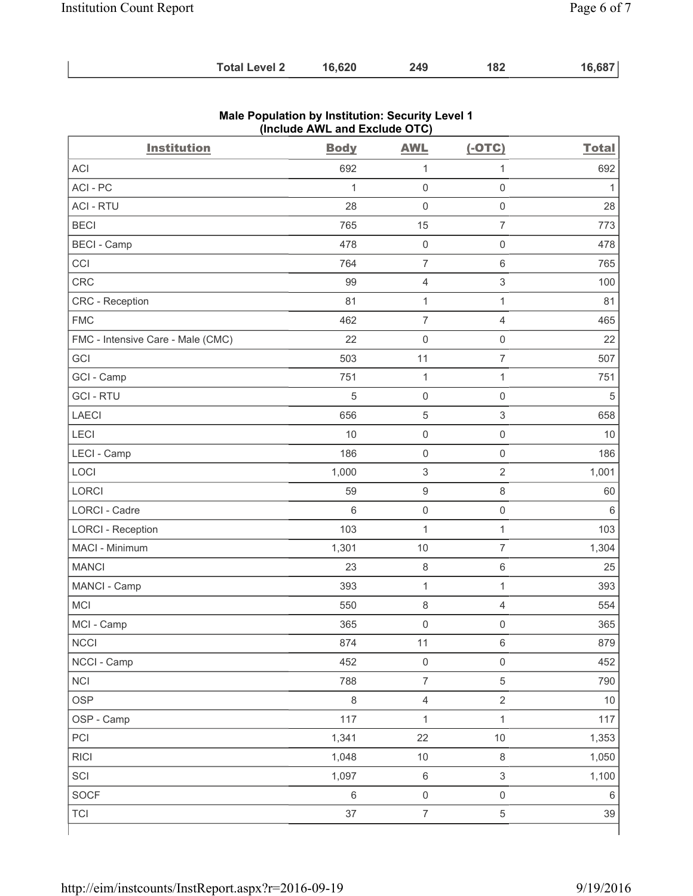| <b>Total Level 2</b> | 16,620 | 249 | 182 | 16,687 |
|----------------------|--------|-----|-----|--------|
|----------------------|--------|-----|-----|--------|

| <b>Institution</b>                | <b>Body</b>  | <b>AWL</b>                | $(-OTC)$                  | <b>Total</b> |
|-----------------------------------|--------------|---------------------------|---------------------------|--------------|
| <b>ACI</b>                        | 692          | 1                         | 1                         | 692          |
| ACI-PC                            | $\mathbf{1}$ | $\mathbf 0$               | $\mathsf 0$               | 1            |
| <b>ACI - RTU</b>                  | 28           | $\mathbf 0$               | $\mathsf{O}\xspace$       | 28           |
| <b>BECI</b>                       | 765          | 15                        | $\overline{7}$            | 773          |
| <b>BECI - Camp</b>                | 478          | $\mathbf 0$               | $\mathsf{O}\xspace$       | 478          |
| CCI                               | 764          | $\overline{7}$            | 6                         | 765          |
| CRC                               | 99           | $\overline{4}$            | $\ensuremath{\mathsf{3}}$ | 100          |
| CRC - Reception                   | 81           | $\mathbf{1}$              | $\mathbf{1}$              | 81           |
| <b>FMC</b>                        | 462          | $\overline{7}$            | 4                         | 465          |
| FMC - Intensive Care - Male (CMC) | 22           | $\mathsf{O}\xspace$       | $\mathsf{O}\xspace$       | 22           |
| GCI                               | 503          | 11                        | $\overline{7}$            | 507          |
| GCI - Camp                        | 751          | $\mathbf 1$               | 1                         | 751          |
| <b>GCI-RTU</b>                    | $\sqrt{5}$   | $\mathsf{O}\xspace$       | $\mathsf{O}\xspace$       | 5            |
| <b>LAECI</b>                      | 656          | 5                         | 3                         | 658          |
| LECI                              | 10           | $\mathsf{O}\xspace$       | $\mathsf{O}\xspace$       | 10           |
| LECI - Camp                       | 186          | $\mathsf{O}\xspace$       | $\mathsf{O}\xspace$       | 186          |
| LOCI                              | 1,000        | $\ensuremath{\mathsf{3}}$ | $\sqrt{2}$                | 1,001        |
| <b>LORCI</b>                      | 59           | $\boldsymbol{9}$          | 8                         | 60           |
| <b>LORCI - Cadre</b>              | 6            | $\mathsf{O}\xspace$       | $\mathsf 0$               | $\,6\,$      |
| <b>LORCI - Reception</b>          | 103          | $\mathbf 1$               | $\mathbf{1}$              | 103          |
| MACI - Minimum                    | 1,301        | 10                        | $\overline{7}$            | 1,304        |
| <b>MANCI</b>                      | 23           | $\,8\,$                   | 6                         | 25           |
| MANCI - Camp                      | 393          | $\mathbf{1}$              | $\mathbf{1}$              | 393          |
| MCI                               | 550          | $\,8\,$                   | 4                         | 554          |
| MCI - Camp                        | 365          | $\mathsf{O}\xspace$       | $\mathsf 0$               | 365          |
| <b>NCCI</b>                       | 874          | 11                        | 6                         | 879          |
| NCCI - Camp                       | 452          | $\mathsf{O}\xspace$       | $\mathsf{O}\xspace$       | 452          |
| <b>NCI</b>                        | 788          | $\overline{7}$            | 5                         | 790          |
| <b>OSP</b>                        | $\,8\,$      | $\overline{4}$            | $\overline{2}$            | $10$         |
| OSP - Camp                        | 117          | $\mathbf 1$               | $\mathbf{1}$              | 117          |
| PCI                               | 1,341        | 22                        | $10$                      | 1,353        |
| <b>RICI</b>                       | 1,048        | 10                        | $\,8\,$                   | 1,050        |
| SCI                               | 1,097        | $\,6\,$                   | $\mathfrak{S}$            | 1,100        |
| SOCF                              | $\,6\,$      | $\mathsf{O}\xspace$       | $\mathsf{O}\xspace$       | $\,6\,$      |
| <b>TCI</b>                        | 37           | $\overline{\mathcal{I}}$  | 5                         | 39           |

## **Male Population by Institution: Security Level 1 (Include AWL and Exclude OTC)**